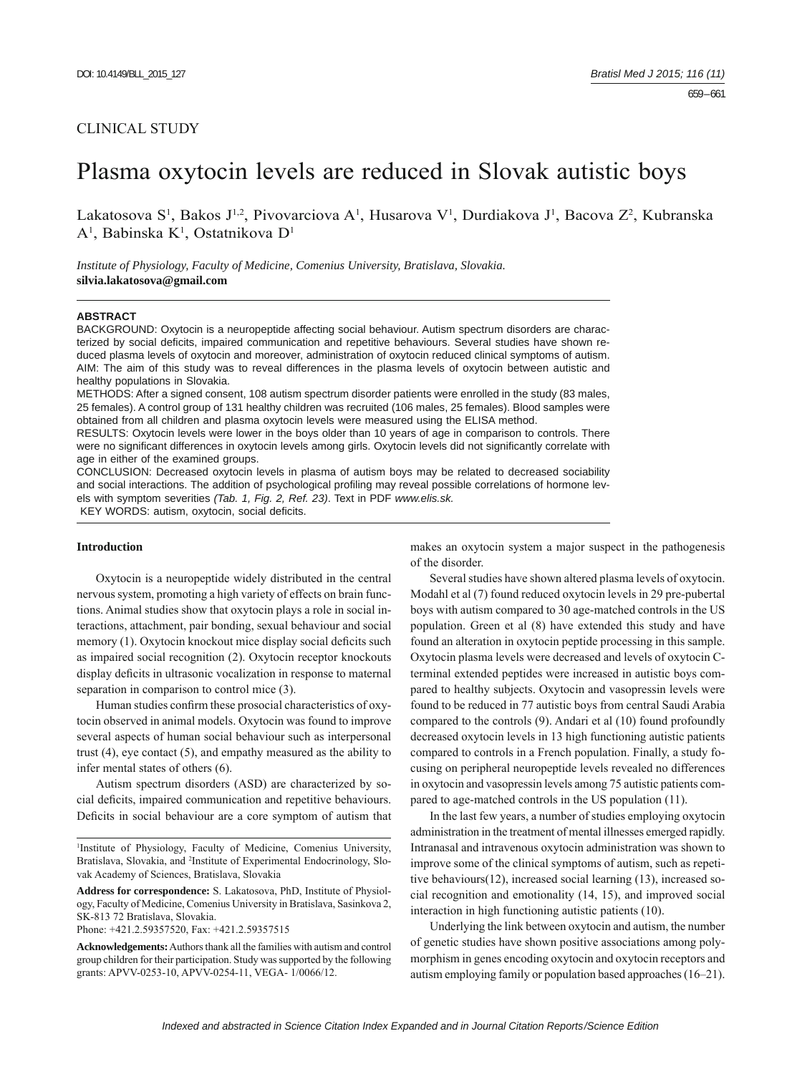# CLINICAL STUDY

# Plasma oxytocin levels are reduced in Slovak autistic boys

Lakatosova S<sup>1</sup>, Bakos J<sup>1,2</sup>, Pivovarciova A<sup>1</sup>, Husarova V<sup>1</sup>, Durdiakova J<sup>1</sup>, Bacova Z<sup>2</sup>, Kubranska A<sup>1</sup>, Babinska K<sup>1</sup>, Ostatnikova D<sup>1</sup>

*Institute of Physiology, Faculty of Medicine, Comenius University, Bratislava, Slovakia.*  **silvia.lakatosova@gmail.com**

#### **ABSTRACT**

BACKGROUND: Oxytocin is a neuropeptide affecting social behaviour. Autism spectrum disorders are characterized by social deficits, impaired communication and repetitive behaviours. Several studies have shown reduced plasma levels of oxytocin and moreover, administration of oxytocin reduced clinical symptoms of autism. AIM: The aim of this study was to reveal differences in the plasma levels of oxytocin between autistic and healthy populations in Slovakia.

METHODS: After a signed consent, 108 autism spectrum disorder patients were enrolled in the study (83 males, 25 females). A control group of 131 healthy children was recruited (106 males, 25 females). Blood samples were obtained from all children and plasma oxytocin levels were measured using the ELISA method.

RESULTS: Oxytocin levels were lower in the boys older than 10 years of age in comparison to controls. There were no significant differences in oxytocin levels among girls. Oxytocin levels did not significantly correlate with age in either of the examined groups.

CONCLUSION: Decreased oxytocin levels in plasma of autism boys may be related to decreased sociability and social interactions. The addition of psychological profiling may reveal possible correlations of hormone levels with symptom severities *(Tab. 1, Fig. 2, Ref. 23)*. Text in PDF *www.elis.sk.* KEY WORDS: autism, oxytocin, social deficits.

**Introduction**

Oxytocin is a neuropeptide widely distributed in the central nervous system, promoting a high variety of effects on brain functions. Animal studies show that oxytocin plays a role in social interactions, attachment, pair bonding, sexual behaviour and social memory (1). Oxytocin knockout mice display social deficits such as impaired social recognition (2). Oxytocin receptor knockouts display deficits in ultrasonic vocalization in response to maternal separation in comparison to control mice (3).

Human studies confirm these prosocial characteristics of oxytocin observed in animal models. Oxytocin was found to improve several aspects of human social behaviour such as interpersonal trust (4), eye contact (5), and empathy measured as the ability to infer mental states of others (6).

Autism spectrum disorders (ASD) are characterized by social deficits, impaired communication and repetitive behaviours. Deficits in social behaviour are a core symptom of autism that

1 Institute of Physiology, Faculty of Medicine, Comenius University, Bratislava, Slovakia, and <sup>2</sup>Institute of Experimental Endocrinology, Slovak Academy of Sciences, Bratislava, Slovakia

**Address for correspondence:** S. Lakatosova, PhD, Institute of Physiology, Faculty of Medicine, Comenius University in Bratislava, Sasinkova 2, SK-813 72 Bratislava, Slovakia.

Phone: +421.2.59357520, Fax: +421.2.59357515

**Acknowledgements:** Authors thank all the families with autism and control group children for their participation. Study was supported by the following grants: APVV-0253-10, APVV-0254-11, VEGA- 1/0066/12.

makes an oxytocin system a major suspect in the pathogenesis of the disorder.

Several studies have shown altered plasma levels of oxytocin. Modahl et al (7) found reduced oxytocin levels in 29 pre-pubertal boys with autism compared to 30 age-matched controls in the US population. Green et al (8) have extended this study and have found an alteration in oxytocin peptide processing in this sample. Oxytocin plasma levels were decreased and levels of oxytocin Cterminal extended peptides were increased in autistic boys compared to healthy subjects. Oxytocin and vasopressin levels were found to be reduced in 77 autistic boys from central Saudi Arabia compared to the controls (9). Andari et al (10) found profoundly decreased oxytocin levels in 13 high functioning autistic patients compared to controls in a French population. Finally, a study focusing on peripheral neuropeptide levels revealed no differences in oxytocin and vasopressin levels among 75 autistic patients compared to age-matched controls in the US population (11).

In the last few years, a number of studies employing oxytocin administration in the treatment of mental illnesses emerged rapidly. Intranasal and intravenous oxytocin administration was shown to improve some of the clinical symptoms of autism, such as repetitive behaviours(12), increased social learning (13), increased social recognition and emotionality (14, 15), and improved social interaction in high functioning autistic patients (10).

Underlying the link between oxytocin and autism, the number of genetic studies have shown positive associations among polymorphism in genes encoding oxytocin and oxytocin receptors and autism employing family or population based approaches (16–21).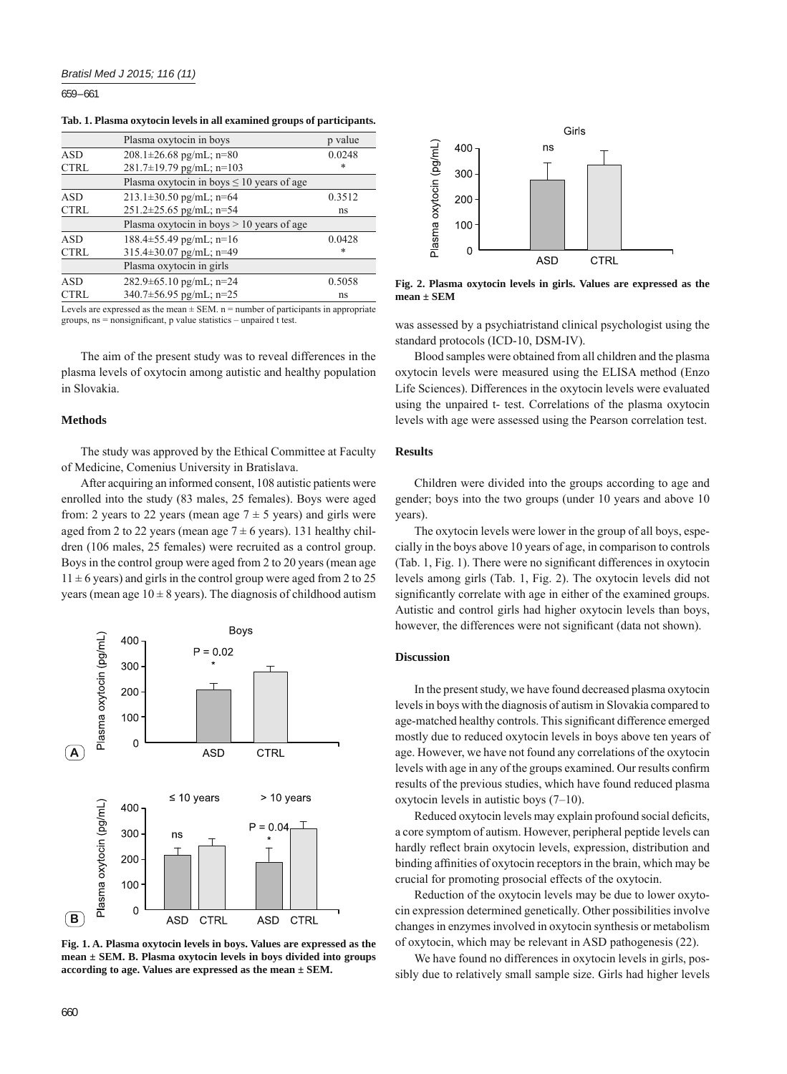659 – 661

|  |  |  | Tab. 1. Plasma oxytocin levels in all examined groups of participants. |  |  |
|--|--|--|------------------------------------------------------------------------|--|--|
|  |  |  |                                                                        |  |  |

|             | Plasma oxytocin in boys                        | p value |
|-------------|------------------------------------------------|---------|
| <b>ASD</b>  | $208.1 \pm 26.68$ pg/mL; n=80                  | 0.0248  |
| <b>CTRL</b> | $281.7\pm19.79$ pg/mL; n=103                   | *       |
|             | Plasma oxytocin in boys $\leq 10$ years of age |         |
| ASD         | $213.1 \pm 30.50$ pg/mL; n=64                  | 0.3512  |
| <b>CTRL</b> | $251.2 \pm 25.65$ pg/mL; n=54                  | ns      |
|             | Plasma oxytocin in boys $> 10$ years of age    |         |
| <b>ASD</b>  | $188.4 \pm 55.49$ pg/mL; n=16                  | 0.0428  |
| <b>CTRL</b> | $315.4 \pm 30.07$ pg/mL; n=49                  | *       |
|             | Plasma oxytocin in girls                       |         |
| <b>ASD</b>  | $282.9 \pm 65.10$ pg/mL; n=24                  | 0.5058  |
| <b>CTRL</b> | $340.7 \pm 56.95$ pg/mL; n=25                  | ns      |

Levels are expressed as the mean  $\pm$  SEM. n = number of participants in appropriate groups,  $ns = nonsignificant$ , p value statistics – unpaired t test.

The aim of the present study was to reveal differences in the plasma levels of oxytocin among autistic and healthy population in Slovakia.

#### **Methods**

The study was approved by the Ethical Committee at Faculty of Medicine, Comenius University in Bratislava.

After acquiring an informed consent, 108 autistic patients were enrolled into the study (83 males, 25 females). Boys were aged from: 2 years to 22 years (mean age  $7 \pm 5$  years) and girls were aged from 2 to 22 years (mean age  $7 \pm 6$  years). 131 healthy children (106 males, 25 females) were recruited as a control group. Boys in the control group were aged from 2 to 20 years (mean age  $11 \pm 6$  years) and girls in the control group were aged from 2 to 25 years (mean age  $10 \pm 8$  years). The diagnosis of childhood autism



Fig. 1. A. Plasma oxytocin levels in boys. Values are expressed as the **mean ± SEM. B. Plasma oxytocin levels in boys divided into groups according to age. Values are expressed as the mean ± SEM.**



**Fig. 2. Plasma oxytocin levels in girls. Values are expressed as the mean ± SEM**

was assessed by a psychiatristand clinical psychologist using the standard protocols (ICD-10, DSM-IV).

Blood samples were obtained from all children and the plasma oxytocin levels were measured using the ELISA method (Enzo Life Sciences). Differences in the oxytocin levels were evaluated using the unpaired t- test. Correlations of the plasma oxytocin levels with age were assessed using the Pearson correlation test.

## **Results**

Children were divided into the groups according to age and gender; boys into the two groups (under 10 years and above 10 years).

The oxytocin levels were lower in the group of all boys, especially in the boys above 10 years of age, in comparison to controls (Tab. 1, Fig. 1). There were no significant differences in oxytocin levels among girls (Tab. 1, Fig. 2). The oxytocin levels did not significantly correlate with age in either of the examined groups. Autistic and control girls had higher oxytocin levels than boys, however, the differences were not significant (data not shown).

#### **Discussion**

In the present study, we have found decreased plasma oxytocin levels in boys with the diagnosis of autism in Slovakia compared to age-matched healthy controls. This significant difference emerged mostly due to reduced oxytocin levels in boys above ten years of age. However, we have not found any correlations of the oxytocin levels with age in any of the groups examined. Our results confirm results of the previous studies, which have found reduced plasma oxytocin levels in autistic boys (7–10).

Reduced oxytocin levels may explain profound social deficits, a core symptom of autism. However, peripheral peptide levels can hardly reflect brain oxytocin levels, expression, distribution and binding affinities of oxytocin receptors in the brain, which may be crucial for promoting prosocial effects of the oxytocin.

Reduction of the oxytocin levels may be due to lower oxytocin expression determined genetically. Other possibilities involve changes in enzymes involved in oxytocin synthesis or metabolism of oxytocin, which may be relevant in ASD pathogenesis (22).

We have found no differences in oxytocin levels in girls, possibly due to relatively small sample size. Girls had higher levels